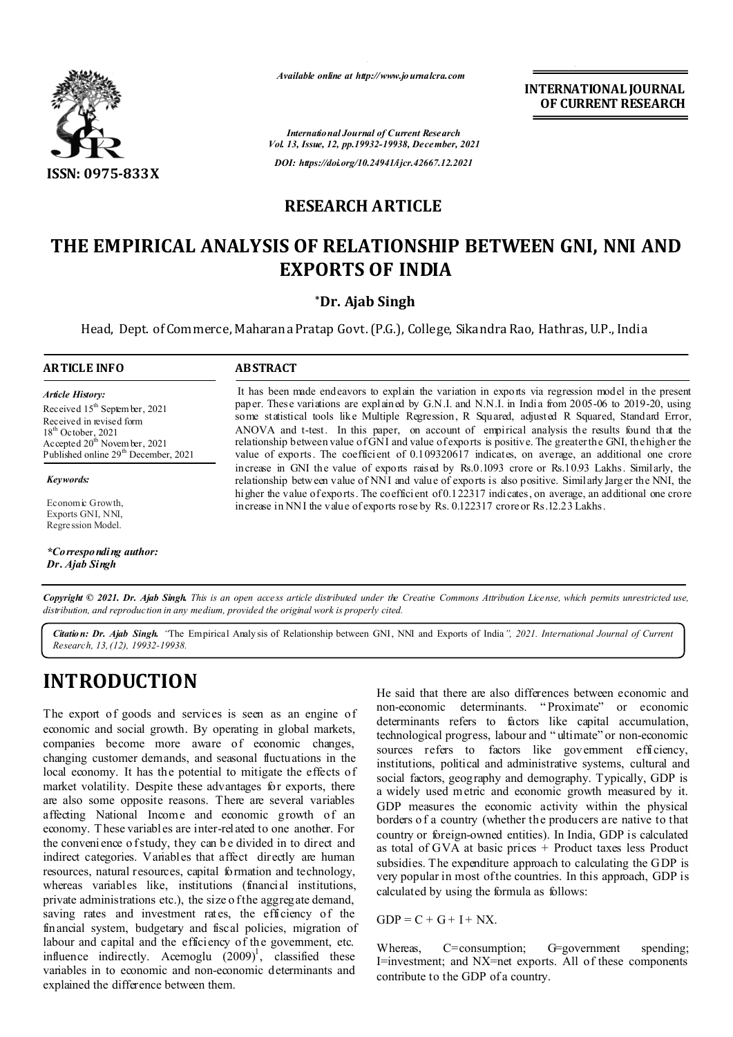

*Available online at http://www.journalcra.com*

**INTERNATIONAL JOURNAL OF CURRENT RESEARCH**

*International Journal of Current Research Vol. 13, Issue, 12, pp.19932-19938, December, 2021 DOI: https://doi.org/10.24941/ijcr.42667.12.2021*

# **RESEARCH ARTICLE**

# **THE EMPIRICAL ANALYSIS OF RELATIONSHIP BETWEEN GNI, NNI AND EXPORTS OF INDIA**

## **\*Dr. Ajab Singh**

Head, Dept. of Commerce, Maharana Pratap Govt. (P.G.), College, Sikandra Rao, Hathras, U.P., India

### **ARTICLE INFO ABSTRACT**

*Article History: Article History:* Received 15<sup>th</sup> Septem ber, 2021 Received in revised form Received in revised form Received in revised form  $18<sup>th</sup>$  October, 2021 Ac cepted  $20^{\text{th}}$  Novem ber, 2021 Published online 29<sup>th</sup> December, 2021

*Keywords:*

Economic Growth, Exports GNI, NNI, Regression Model.

*\*Corresponding author: Dr. Ajab Singh*

It has been made endeavors to explain the variation in exports via regression model in the present paper. These variations are explained by G.N.I. and N.N.I. in India from 2005-06 to 2019-20, using some statistical tools like Multiple Regression, R Squared, adjusted R Squared, Standard Error, ANOVA and t-test. In this paper, on account of empirical analysis the results found that the relationship between value of GNI and value of exports is positive. The greater the GNI, the higher the value of exports. The coefficient of 0.109320617 indicates, on average, an additional one crore increase in GNI the value of exports raised by Rs.0.1093 crore or Rs.10.93 Lakhs. Similarly, the relationship between value of NNI and value of exports is also positive. Similarly,larger the NNI, the higher the value of exports. The coefficient of 0.122317 indicates, on average, an additional one crore increase in NNI the value of exports rose by Rs. 0.122317 crore or Rs.12.23 Lakhs.

Copyright © 2021. Dr. Ajab Singh. This is an open access article distributed under the Creative Commons Attribution License, which permits unrestricted use, *distribution, and reproduction in any medium, provided the original work is properly cited.*

*Citation: Dr. Ajab Singh. "*The Empirical Analy sis of Relationship between GNI, NNI and Exports of India*", 2021. International Journal of Current Research, 13,(12), 19932-19938.*

# **INTRODUCTION**

The export of goods and services is seen as an engine of economic and social growth. By operating in global markets, companies become more aware of economic changes, changing customer demands, and seasonal fluctuations in the local economy. It has the potential to mitigate the effects of market volatility. Despite these advantages for exports, there are also some opposite reasons. There are several variables affecting National Income and economic growth of an economy. T hese variables are inter-related to one another. For the convenience o f study, they can be divided in to direct and indirect categories. Variables that affect directly are human resources, natural resources, capital formation and technology, whereas variables like, institutions (financial institutions, private administrations etc.), the size o f the aggregate demand, saving rates and investment rates, the efficiency of the financial system, budgetary and fiscal policies, migration of labour and capital and the efficiency of the government, etc. influence indirectly. Acemoglu  $(2009)^1$ , classified these variables in to economic and non-economic determinants and explained the difference between them.

He said that there are also differences between economic and non-economic determinants. " Proximate" or economic determinants refers to factors like capital accumulation, technological progress, labour and " ultimate" or non-economic sources refers to factors like government efficiency, institutions, political and administrative systems, cultural and social factors, geography and demography. Typically, GDP is a widely used metric and economic growth measured by it. GDP measures the economic activity within the physical borders o f a country (whether the producers are native to that country or foreign-owned entities). In India, GDP is calculated as total of GVA at basic prices + Product taxes less Product subsidies. The expenditure approach to calculating the GDP is very popular in most of the countries. In this approach, GDP is calculated by using the formula as follows:

 $GDP = C + G + I + NX$ .

Whereas, C=consumption; G=government spending; I=investment; and NX=net exports. All of these components contribute to the GDP of a country.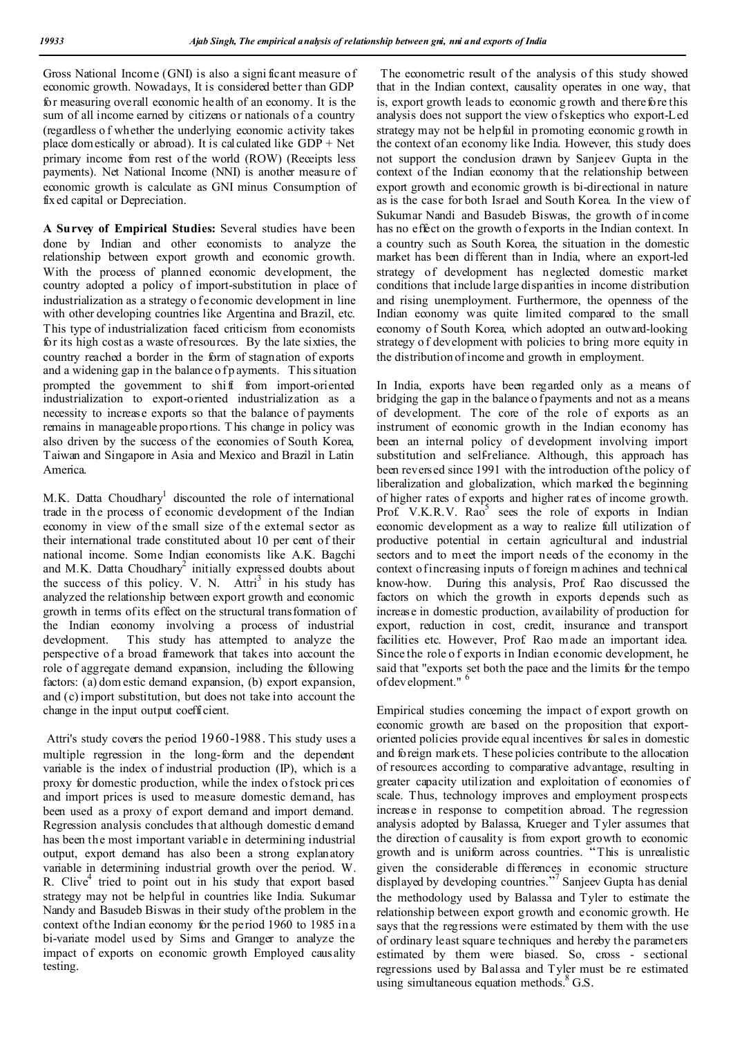Gross National Income (GNI) is also a signi ficant measure of economic growth. Nowadays, It is considered better than GDP for measuring overall economic health of an economy. It is the sum of all income earned by citizens or nationals of a country (regardless o f whether the underlying economic activity takes place dom estically or abroad). It is calculated like  $GDP + Net$ primary income from rest of the world (ROW) (Receipts less payments). Net National Income (NNI) is another measure of economic growth is calculate as GNI minus Consumption of fixed capital or Depreciation.

**A Survey of Empirical Studies:** Several studies have been done by Indian and other economists to analyze the relationship between export growth and economic growth. With the process of planned economic development, the country adopted a policy of import-substitution in place of industrialization as a strategy o fe conomic development in line with other developing countries like Argentina and Brazil, etc. This type of industrialization faced criticism from economists for its high cost as a waste of resources. By the late sixties, the country reached a border in the form of stagnation of exports and a widening gap in the balance of p ayments. This situation prompted the government to shift from import-oriented industrialization to export-oriented industrialization as a necessity to increase exports so that the balance of payments remains in manageable proportions. T his change in policy was also driven by the success of the economies of South Korea, Taiwan and Singapore in Asia and Mexico and Brazil in Latin America.

M.K. Datta Choudhary<sup>1</sup> discounted the role of international trade in the process of economic development of the Indian economy in view of the small size of the external sector as their international trade constituted about 10 per cent of their national income. Some Indian economists like A.K. Bagchi and M.K. Datta Choudhary<sup>2</sup> initially expressed doubts about the success of this policy. V. N.  $Attri<sup>3</sup>$  in his study has analyzed the relationship between export growth and economic growth in terms of its effect on the structural transformation of the Indian economy involving a process of industrial development. This study has attempted to analyze the perspective of a broad framework that takes into account the role of aggregate demand expansion, including the following factors: (a) dom estic demand expansion, (b) export expansion, and (c) import substitution, but does not take into account the change in the input output coefficient.

Attri's study covers the period 1960-1988. This study uses a multiple regression in the long-form and the dependent variable is the index of industrial production (IP), which is a proxy for domestic production, while the index o f stock prices and import prices is used to measure domestic demand, has been used as a proxy of export demand and import demand. Regression analysis concludes that although domestic d emand has been the most important variable in determining industrial output, export demand has also been a strong explanatory variable in determining industrial growth over the period. W. R. Clive $4$  tried to point out in his study that export based strategy may not be helpful in countries like India. Sukumar Nandy and Basudeb Biswas in their study of the problem in the context of the Indian economy for the period 1960 to 1985 in a bi-variate model used by Sims and Granger to analyze the impact of exports on economic growth Employed causality testing.

The econometric result of the analysis of this study showed that in the Indian context, causality operates in one way, that is, export growth leads to economic g rowth and therefore this analysis does not support the view of skeptics who export-Led strategy may not be helpful in promoting economic g rowth in the context of an economy like India. However, this study does not support the conclusion drawn by Sanjeev Gupta in the context of the Indian economy that the relationship between export growth and economic growth is bi-directional in nature as is the case for both Israel and South Korea. In the view of Sukumar Nandi and Basudeb Biswas, the growth of income has no effect on the growth o f exports in the Indian context. In a country such as South Korea, the situation in the domestic market has been different than in India, where an export-led strategy of development has neglected domestic market conditions that include large disparities in income distribution and rising unemployment. Furthermore, the openness of the Indian economy was quite limited compared to the small economy of South Korea, which adopted an outward-looking strategy o f development with policies to bring more equity in the distribution of income and growth in employment.

In India, exports have been regarded only as a means of bridging the gap in the balance o f payments and not as a means of development. The core of the role of exports as an instrument of economic growth in the Indian economy has been an internal policy of development involving import substitution and self-reliance. Although, this approach has been reversed since 1991 with the introduction of the policy of liberalization and globalization, which marked the beginning of higher rates of exports and higher rates of income growth. Prof. V.K.R.V. Rao<sup>5</sup> sees the role of exports in Indian economic development as a way to realize full utilization of productive potential in certain agricultural and industrial sectors and to meet the import needs of the economy in the context of increasing inputs of foreign m achines and technical know-how. During this analysis, Prof. Rao discussed the factors on which the growth in exports depends such as increase in domestic production, availability of production for export, reduction in cost, credit, insurance and transport facilities etc. However, Prof. Rao made an important idea. Since the role o f exports in Indian economic development, he said that "exports set both the pace and the limits for the tempo of development."

Empirical studies concerning the impact of export growth on economic growth are based on the proposition that exportoriented policies provide equal incentives for sales in domestic and foreign markets. These policies contribute to the allocation of resources according to comparative advantage, resulting in greater capacity utilization and exploitation of economies of scale. Thus, technology improves and employment prospects increase in response to competition abroad. The regression analysis adopted by Balassa, Krueger and Tyler assumes that the direction of causality is from export growth to economic growth and is uniform across countries. "This is unrealistic given the considerable differences in economic structure displayed by developing countries." <sup>7</sup> Sanjeev Gupta has denial the methodology used by Balassa and Tyler to estimate the relationship between export growth and economic growth. He says that the regressions were estimated by them with the use of ordinary least square techniques and hereby the parameters estimated by them were biased. So, cross - sectional regressions used by Balassa and Tyler must be re estimated using simultaneous equation methods. $8 \text{ G.S.}$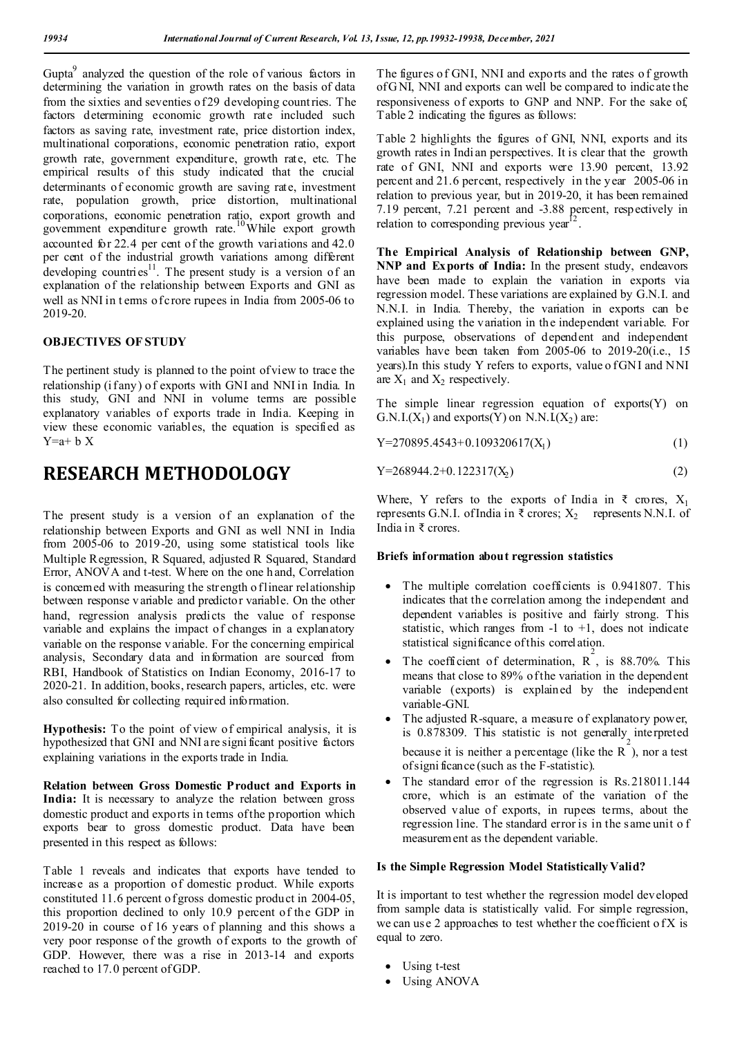Gupta<sup>9</sup> analyzed the question of the role of various factors in determining the variation in growth rates on the basis of data from the sixties and seventies of 29 developing count ries. The factors determining economic growth rate included such factors as saving rate, investment rate, price distortion index, multinational corporations, economic penetration ratio, export growth rate, government expenditure, growth rate, etc. The empirical results of this study indicated that the crucial determinants of economic growth are saving rate, investment rate, population growth, price distortion, multinational corporations, economic penetration ratio, export growth and government expenditure growth rate.<sup>10</sup>While export growth accounted for 22.4 per cent of the growth variations and 42.0 per cent of the industrial growth variations among different developing countries<sup>11</sup>. The present study is a version of an explanation of the relationship between Exports and GNI as well as NNI in t erms of crore rupees in India from 2005-06 to 2019-20.

### **OBJECTIVES OF STUDY**

The pertinent study is planned to the point of view to trace the relationship (i fany) of exports with GNI and NNI in India. In this study, GNI and NNI in volume terms are possible explanatory variables of exports trade in India. Keeping in view these economic variables, the equation is specified as  $Y=a+b X$ 

# **RESEARCH METHODOLOGY**

The present study is a version of an explanation of the relationship between Exports and GNI as well NNI in India from 2005-06 to 2019-20, using some statistical tools like Multiple Regression, R Squared, adjusted R Squared, Standard Error, ANOVA and t-test. Where on the one h and, Correlation is concerned with measuring the strength of linear relationship between response v ariable and predictor variable. On the other hand, regression analysis predicts the value of response variable and explains the impact of changes in a explanatory variable on the response v ariable. For the concerning empirical analysis, Secondary data and information are sourced from RBI, Handbook of Statistics on Indian Economy, 2016-17 to 2020-21. In addition, books, research papers, articles, etc. were also consulted for collecting required information.

**Hypothesis:** To the point of view of empirical analysis, it is hypothesized that GNI and NNI are signi ficant positive factors explaining variations in the exports trade in India.

**Relation between Gross Domestic Product and Exports in India:** It is necessary to analyze the relation between gross domestic product and exports in terms of the proportion which exports bear to gross domestic product. Data have been presented in this respect as follows:

Table 1 reveals and indicates that exports have tended to increase as a proportion of domestic product. While exports constituted 11.6 percent o f gross domestic product in 2004-05, this proportion declined to only 10.9 percent of the GDP in 2019-20 in course of 16 years of planning and this shows a very poor response of the growth of exports to the growth of GDP. However, there was a rise in 2013-14 and exports reached to 17.0 percent of GDP.

The figures of GNI, NNI and exports and the rates o f growth of G NI, NNI and exports can well be compared to indicate the responsiveness of exports to GNP and NNP. For the sake of, Table 2 indicating the figures as follows:

Table 2 highlights the figures of GNI, NNI, exports and its growth rates in Indi an perspectives. It is clear that the growth rate of GNI, NNI and exports were 13.90 percent, 13.92 percent and 21.6 percent, respectively in the year 2005-06 in relation to previous year, but in 2019-20, it has been remained 7.19 percent, 7.21 percent and -3.88 percent, respectively in relation to corresponding previous year<sup>12</sup>.

**The Empirical Analysis of Relationship between GNP, NNP and Exports of India:** In the present study, endeavors have been made to explain the variation in exports via regression model. These variations are explained by G.N.I. and N.N.I. in India. Thereby, the variation in exports can be explained using the variation in the independent variable. For this purpose, observations of dependent and independent variables have been taken from 2005-06 to 2019-20(i.e., 15 years). In this study Y refers to exports, value of GNI and NNI are  $X_1$  and  $X_2$  respectively.

The simple linear regression equation of exports(Y) on G.N.I. $(X_1)$  and exports $(Y)$  on N.N.I. $(X_2)$  are:

| $Y=270895.4543+0.109320617(X_1)$ |  |  |  |
|----------------------------------|--|--|--|
|----------------------------------|--|--|--|

| Y=268944.2+0.122317( $X_2$ ) |  |
|------------------------------|--|
|------------------------------|--|

Where, Y refers to the exports of India in  $\bar{\tau}$  crores,  $X_1$ represents G.N.I. of India in  $\bar{\tau}$  crores;  $X_2$  represents N.N.I. of India in ₹ crores.

### **Briefs information about regression statistics**

- The multiple correlation coefficients is 0.941807. This indicates that the correlation among the independent and dependent variables is positive and fairly strong. This statistic, which ranges from  $-1$  to  $+1$ , does not indicate statistical significance of this correlation.
- The coefficient of determination,  $\overrightarrow{R}$ , is 88.70%. This means that close to 89% of the variation in the dependent variable (exports) is explained by the independent variable-GNI.
- The adjusted R-square, a measure of explanatory power, is 0.878309. This statistic is not generally interpreted because it is neither a percentage (like the  $\overline{R}^2$ ), nor a test of signi ficance (such as the F-statistic).
- The standard error of the regression is Rs.218011.144 crore, which is an estimate of the variation of the observed value of exports, in rupees terms, about the regression line. The standard error is in the same unit o f measurement as the dependent variable.

#### **Is the Simple Regression Model Statistically Valid?**

It is important to test whether the regression model developed from sample data is statistically valid. For simple regression, we can use 2 approaches to test whether the coefficient of  $X$  is equal to zero.

- Using t-test
- Using ANOVA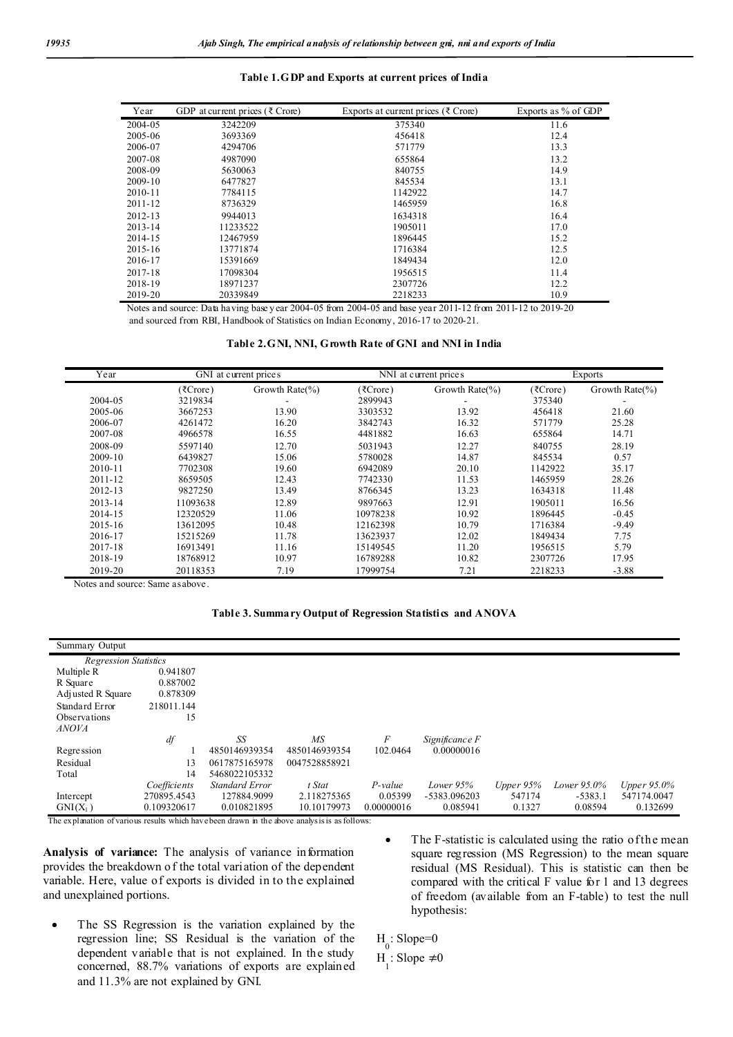#### **Table 1.GDP and Exports at current prices of India**

| Year        | GDP at current prices ( $\bar{\tau}$ Crore) | Exports at current prices ( $\bar{\tau}$ Crore) | Exports as % of GDP |
|-------------|---------------------------------------------|-------------------------------------------------|---------------------|
| 2004-05     | 3242209                                     | 375340                                          | 11.6                |
| 2005-06     | 3693369                                     | 456418                                          | 12.4                |
| 2006-07     | 4294706                                     | 571779                                          | 13.3                |
| 2007-08     | 4987090                                     | 655864                                          | 13.2                |
| 2008-09     | 5630063                                     | 840755                                          | 14.9                |
| $2009 - 10$ | 6477827                                     | 845534                                          | 13.1                |
| $2010 - 11$ | 7784115                                     | 1142922                                         | 14.7                |
| 2011-12     | 8736329                                     | 1465959                                         | 16.8                |
| $2012 - 13$ | 9944013                                     | 1634318                                         | 16.4                |
| $2013 - 14$ | 11233522                                    | 1905011                                         | 17.0                |
| 2014-15     | 12467959                                    | 1896445                                         | 15.2                |
| $2015 - 16$ | 13771874                                    | 1716384                                         | 12.5                |
| 2016-17     | 15391669                                    | 1849434                                         | 12.0                |
| 2017-18     | 17098304                                    | 1956515                                         | 11.4                |
| 2018-19     | 18971237                                    | 2307726                                         | 12.2                |
| 2019-20     | 20339849                                    | 2218233                                         | 10.9                |

Notes and source: Data having base year 2004-05 from 2004-05 and base year 2011-12 from 2011-12 to 2019-20 and sourced from RBI, Handbook of Statistics on Indian Economy, 2016-17 to 2020-21.

|  |  |  | Table 2.GNI, NNI, Growth Rate of GNI and NNI in India |  |  |
|--|--|--|-------------------------------------------------------|--|--|
|--|--|--|-------------------------------------------------------|--|--|

| Year        | GNI at current prices |                     |          | NNI at current prices | Exports  |                     |
|-------------|-----------------------|---------------------|----------|-----------------------|----------|---------------------|
|             | (₹Crore)              | Growth Rate $(\% )$ | (7Crore) | Growth Rate $(\% )$   | (₹Crore) | Growth Rate $(\% )$ |
| 2004-05     | 3219834               |                     | 2899943  | ۰                     | 375340   |                     |
| 2005-06     | 3667253               | 13.90               | 3303532  | 13.92                 | 456418   | 21.60               |
| 2006-07     | 4261472               | 16.20               | 3842743  | 16.32                 | 571779   | 25.28               |
| 2007-08     | 4966578               | 16.55               | 4481882  | 16.63                 | 655864   | 14.71               |
| 2008-09     | 5597140               | 12.70               | 5031943  | 12.27                 | 840755   | 28.19               |
| 2009-10     | 6439827               | 15.06               | 5780028  | 14.87                 | 845534   | 0.57                |
| 2010-11     | 7702308               | 19.60               | 6942089  | 20.10                 | 1142922  | 35.17               |
| $2011 - 12$ | 8659505               | 12.43               | 7742330  | 11.53                 | 1465959  | 28.26               |
| 2012-13     | 9827250               | 13.49               | 8766345  | 13.23                 | 1634318  | 11.48               |
| $2013 - 14$ | 11093638              | 12.89               | 9897663  | 12.91                 | 1905011  | 16.56               |
| 2014-15     | 12320529              | 11.06               | 10978238 | 10.92                 | 1896445  | $-0.45$             |
| 2015-16     | 13612095              | 10.48               | 12162398 | 10.79                 | 1716384  | $-9.49$             |
| 2016-17     | 15215269              | 11.78               | 13623937 | 12.02                 | 1849434  | 7.75                |
| 2017-18     | 16913491              | 11.16               | 15149545 | 11.20                 | 1956515  | 5.79                |
| 2018-19     | 18768912              | 10.97               | 16789288 | 10.82                 | 2307726  | 17.95               |
| 2019-20     | 20118353              | 7.19                | 17999754 | 7.21                  | 2218233  | $-3.88$             |

Notes and source: Same as above.

**Table 3. Summary Output of Regression Statistics and ANOVA**

| Summary Output               |              |                       |                 |            |                |             |             |             |
|------------------------------|--------------|-----------------------|-----------------|------------|----------------|-------------|-------------|-------------|
| <b>Regression Statistics</b> |              |                       |                 |            |                |             |             |             |
| Multiple R                   | 0.941807     |                       |                 |            |                |             |             |             |
| R Square                     | 0.887002     |                       |                 |            |                |             |             |             |
| Adj usted R Square           | 0.878309     |                       |                 |            |                |             |             |             |
| Standard Error               | 218011.144   |                       |                 |            |                |             |             |             |
| <b>Observations</b>          | 15           |                       |                 |            |                |             |             |             |
| <b>ANOVA</b>                 |              |                       |                 |            |                |             |             |             |
|                              | $df$         | SS                    | $\overline{MS}$ | F          | Significance F |             |             |             |
| Regression                   |              | 4850146939354         | 4850146939354   | 102.0464   | 0.00000016     |             |             |             |
| Residual                     | 13           | 0617875165978         | 0047528858921   |            |                |             |             |             |
| Total                        | 14           | 5468022105332         |                 |            |                |             |             |             |
|                              | Coefficients | <b>Standard Error</b> | t Stat          | $P-value$  | Lower 95%      | Upper $95%$ | Lower 95.0% | Upper 95.0% |
| Intercept                    | 270895.4543  | 127884.9099           | 2.118275365     | 0.05399    | -5383.096203   | 547174      | $-5383.1$   | 547174.0047 |
| $GNI(X_1)$                   | 0.109320617  | 0.010821895           | 10.10179973     | 0.00000016 | 0.085941       | 0.1327      | 0.08594     | 0.132699    |

The explanation of various results which have been drawn in the above analysis is as follows:

**Analysis of variance:** The analysis of variance information provides the breakdown o f the total variation of the dependent variable. Here, value of exports is divided in to the explained and unexplained portions.

- The SS Regression is the variation explained by the regression line; SS Residual is the variation of the dependent variable that is not explained. In the study concerned, 88.7% variations of exports are explained and 11.3% are not explained by GNI.
- The F-statistic is calculated using the ratio of the mean square regression (MS Regression) to the mean square residual (MS Residual). This is statistic can then be compared with the critical F value for 1 and 13 degrees of freedom (available from an F-table) to test the null hypothesis:

 $H$ <sub>0</sub>: Slope=0

 $H_{1}: \text{Slope} \neq 0$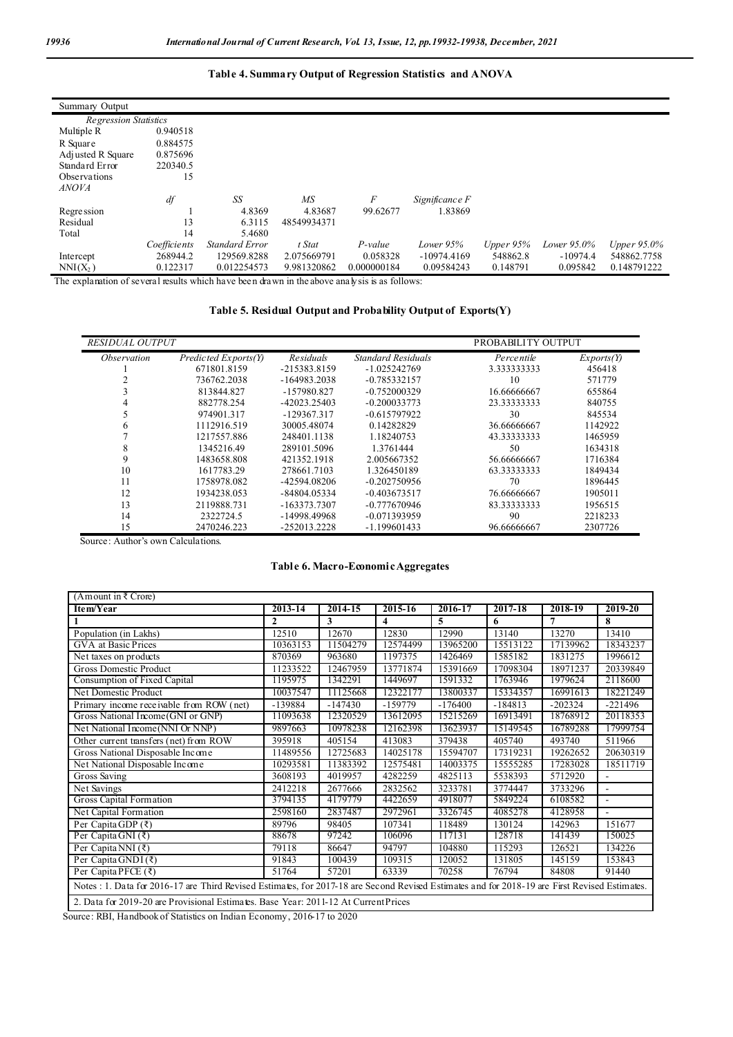### **Table 4. Summary Output of Regression Statistics and ANOVA**

| Summary Output               |              |                       |             |             |                |             |                |             |
|------------------------------|--------------|-----------------------|-------------|-------------|----------------|-------------|----------------|-------------|
| <b>Regression Statistics</b> |              |                       |             |             |                |             |                |             |
| Multiple R                   | 0.940518     |                       |             |             |                |             |                |             |
| R Square                     | 0.884575     |                       |             |             |                |             |                |             |
| Adj usted R Square           | 0.875696     |                       |             |             |                |             |                |             |
| Standard Error               | 220340.5     |                       |             |             |                |             |                |             |
| Observations                 | 15           |                       |             |             |                |             |                |             |
| <b>ANOVA</b>                 |              |                       |             |             |                |             |                |             |
|                              | df           | SS                    | MS          | F           | Significance F |             |                |             |
| Regression                   |              | 4.8369                | 4.83687     | 99.62677    | 1.83869        |             |                |             |
| Residual                     | 13           | 6.3115                | 48549934371 |             |                |             |                |             |
| Total                        | 14           | 5.4680                |             |             |                |             |                |             |
|                              | Coefficients | <b>Standard Error</b> | t Stat      | P-value     | Lower $95%$    | Upper $95%$ | Lower $95.0\%$ | Upper 95.0% |
| Intercept                    | 268944.2     | 129569.8288           | 2.075669791 | 0.058328    | $-10974.4169$  | 548862.8    | $-10974.4$     | 548862.7758 |
| $NNI(X_2)$                   | 0.122317     | 0.012254573           | 9.981320862 | 0.000000184 | 0.09584243     | 0.148791    | 0.095842       | 0.148791222 |

The explanation of several results which have been drawn in the above analysis is as follows:

### **Table 5. Residual Output and Probability Output of Exports(Y)**

| <i><b>RESIDUAL OUTPUT</b></i> |                      |                  |                           | PROBABILITY OUTPUT |            |
|-------------------------------|----------------------|------------------|---------------------------|--------------------|------------|
| <i><b>Observation</b></i>     | Predicted Exports(Y) | <b>Residuals</b> | <b>Standard Residuals</b> | Percentile         | Exports(Y) |
|                               | 671801.8159          | -215383.8159     | $-1.025242769$            | 3.333333333        | 456418     |
|                               | 736762.2038          | -164983.2038     | $-0.785332157$            | 10                 | 571779     |
|                               | 813844.827           | -157980.827      | $-0.752000329$            | 16.66666667        | 655864     |
|                               | 882778.254           | -42023.25403     | $-0.200033773$            | 23.33333333        | 840755     |
|                               | 974901.317           | $-129367.317$    | $-0.615797922$            | 30                 | 845534     |
|                               | 1112916.519          | 30005.48074      | 0.14282829                | 36.66666667        | 1142922    |
|                               | 1217557.886          | 248401.1138      | 1.18240753                | 43.33333333        | 1465959    |
| x                             | 1345216.49           | 289101.5096      | 1.3761444                 | 50                 | 1634318    |
| 9                             | 1483658.808          | 421352.1918      | 2.005667352               | 56.66666667        | 1716384    |
| 10                            | 1617783.29           | 278661.7103      | 1.326450189               | 63.33333333        | 1849434    |
| 11                            | 1758978.082          | -42594.08206     | $-0.202750956$            | 70                 | 1896445    |
| 12                            | 1934238.053          | -84804.05334     | $-0.403673517$            | 76.66666667        | 1905011    |
| 13                            | 2119888.731          | -163373.7307     | $-0.777670946$            | 83.33333333        | 1956515    |
| 14                            | 2322724.5            | -14998.49968     | $-0.071393959$            | 90                 | 2218233    |
| 15                            | 2470246.223          | $-252013.2228$   | $-1.199601433$            | 96.66666667        | 2307726    |

Source: Author's own Calculations.

### **Table 6. Macro-Economic Aggregates**

| (Amount in $\bar{\tau}$ Crore)                                                                                                                 |              |           |           |           |             |           |           |
|------------------------------------------------------------------------------------------------------------------------------------------------|--------------|-----------|-----------|-----------|-------------|-----------|-----------|
| Item/Year                                                                                                                                      | 2013-14      | 2014-15   | 2015-16   | 2016-17   | $2017 - 18$ | 2018-19   | 2019-20   |
|                                                                                                                                                | $\mathbf{2}$ | 3         | 4         | 5         | 6           | 7         | 8         |
| Population (in Lakhs)                                                                                                                          | 12510        | 12670     | 12830     | 12990     | 13140       | 13270     | 13410     |
| GVA at Basic Prices                                                                                                                            | 10363153     | 11504279  | 12574499  | 13965200  | 15513122    | 17139962  | 18343237  |
| Net taxes on products                                                                                                                          | 870369       | 963680    | 1197375   | 1426469   | 1585182     | 1831275   | 1996612   |
| <b>Gross Domestic Product</b>                                                                                                                  | 11233522     | 12467959  | 13771874  | 15391669  | 17098304    | 18971237  | 20339849  |
| Consumption of Fixed Capital                                                                                                                   | 1195975      | 1342291   | 1449697   | 1591332   | 1763946     | 1979624   | 2118600   |
| Net Domestic Product                                                                                                                           | 10037547     | 11125668  | 12322177  | 13800337  | 15334357    | 16991613  | 18221249  |
| Primary income receivable from ROW (net)                                                                                                       | $-139884$    | $-147430$ | $-159779$ | $-176400$ | $-184813$   | $-202324$ | $-221496$ |
| Gross National Income (GNI or GNP)                                                                                                             | 11093638     | 12320529  | 13612095  | 15215269  | 16913491    | 18768912  | 20118353  |
| Net National Income (NNI Or NNP)                                                                                                               | 9897663      | 10978238  | 12162398  | 13623937  | 15149545    | 16789288  | 17999754  |
| Other current transfers (net) from ROW                                                                                                         | 395918       | 405154    | 413083    | 379438    | 405740      | 493740    | 511966    |
| Gross National Disposable Income                                                                                                               | 11489556     | 12725683  | 14025178  | 15594707  | 17319231    | 19262652  | 20630319  |
| Net National Disposable Income                                                                                                                 | 10293581     | 11383392  | 12575481  | 14003375  | 15555285    | 17283028  | 18511719  |
| Gross Saving                                                                                                                                   | 3608193      | 4019957   | 4282259   | 4825113   | 5538393     | 5712920   | ٠         |
| Net Savings                                                                                                                                    | 2412218      | 2677666   | 2832562   | 3233781   | 3774447     | 3733296   |           |
| Gross Capital Formation                                                                                                                        | 3794135      | 4179779   | 4422659   | 4918077   | 5849224     | 6108582   |           |
| Net Capital Formation                                                                                                                          | 2598160      | 2837487   | 2972961   | 3326745   | 4085278     | 4128958   | L,        |
| Per Capita GDP (₹)                                                                                                                             | 89796        | 98405     | 107341    | 118489    | 130124      | 142963    | 151677    |
| Per Capita GNI $(\bar{z})$                                                                                                                     | 88678        | 97242     | 106096    | 117131    | 128718      | 141439    | 150025    |
| Per Capita NNI $(3)$                                                                                                                           | 79118        | 86647     | 94797     | 104880    | 115293      | 126521    | 134226    |
| Per Capita GNDI $(\bar{x})$                                                                                                                    | 91843        | 100439    | 109315    | 120052    | 131805      | 145159    | 153843    |
| Per Capita PFCE $(\bar{x})$                                                                                                                    | 51764        | 57201     | 63339     | 70258     | 76794       | 84808     | 91440     |
| Notes : 1. Data for 2016-17 are Third Revised Estimates, for 2017-18 are Second Revised Estimates and for 2018-19 are First Revised Estimates. |              |           |           |           |             |           |           |
| 2. Data for 2019-20 are Provisional Estimates. Base Year: 2011-12 At Current Prices                                                            |              |           |           |           |             |           |           |

Source: RBI, Handbook of Statistics on Indian Economy, 2016-17 to 2020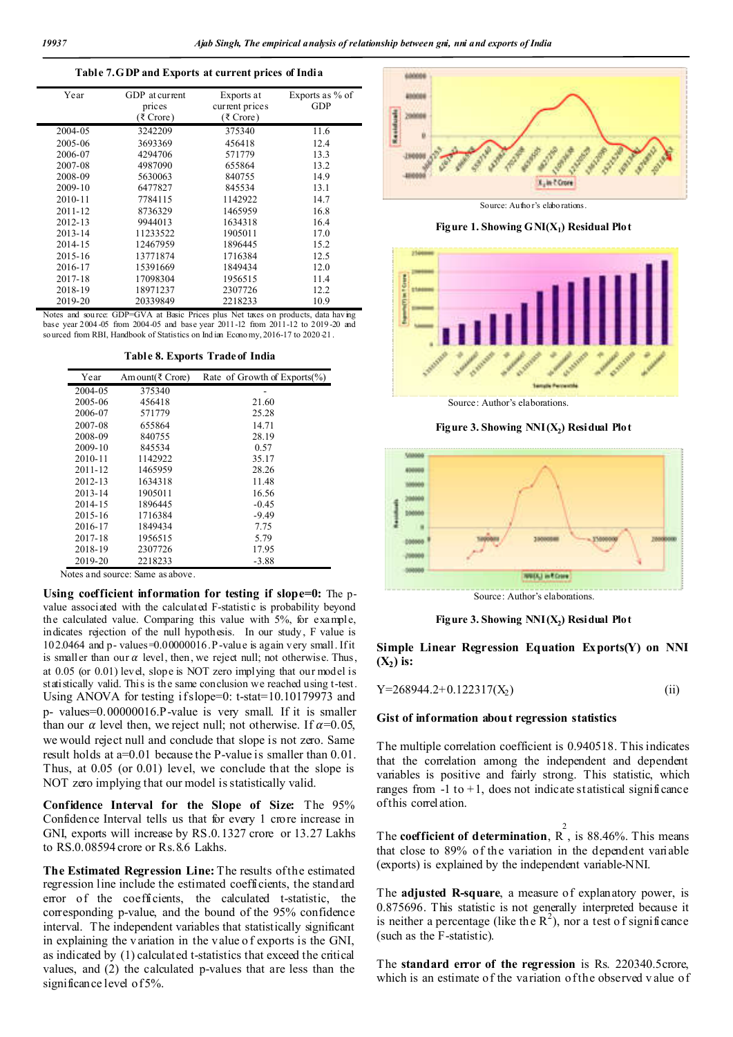#### **Table 7. GDP and Exports at current prices of India**

| Year        | GDP at current<br>prices<br>(₹ Crore) | Exports at<br>current prices<br>(₹ Crore) | Exports as % of<br>GDP |
|-------------|---------------------------------------|-------------------------------------------|------------------------|
| 2004-05     | 3242209                               | 375340                                    | 11.6                   |
| 2005-06     | 3693369                               | 456418                                    | 12.4                   |
| 2006-07     | 4294706                               | 571779                                    | 13.3                   |
| 2007-08     | 4987090                               | 655864                                    | 13.2                   |
| 2008-09     | 5630063                               | 840755                                    | 14.9                   |
| 2009-10     | 6477827                               | 845534                                    | 13.1                   |
| $2010 - 11$ | 7784115                               | 1142922                                   | 14.7                   |
| 2011-12     | 8736329                               | 1465959                                   | 16.8                   |
| $2012 - 13$ | 9944013                               | 1634318                                   | 16.4                   |
| 2013-14     | 11233522                              | 1905011                                   | 17.0                   |
| 2014-15     | 12467959                              | 1896445                                   | 15.2                   |
| 2015-16     | 13771874                              | 1716384                                   | 12.5                   |
| 2016-17     | 15391669                              | 1849434                                   | 12.0                   |
| 2017-18     | 17098304                              | 1956515                                   | 11.4                   |
| 2018-19     | 18971237                              | 2307726                                   | 12.2                   |
| 2019-20     | 20339849                              | 2218233                                   | 10.9                   |

Notes and sou rce: GDP=GVA at Basic Prices plus Net taxes on products, data hav ing base year 2004 -05 from 2004-05 and base year 2011-12 from 2011-12 to 2019 -20 and sourced from RBI, Handbook of Statistics on Indian Econo my, 2016-17 to 2020 21.

**Table 8. Exports Trade of India**

| Year        | Am ount(₹ Crore) | Rate of Growth of Exports $(\%$ |
|-------------|------------------|---------------------------------|
| 2004-05     | 375340           |                                 |
| 2005-06     | 456418           | 21.60                           |
| 2006-07     | 571779           | 25.28                           |
| 2007-08     | 655864           | 14.71                           |
| 2008-09     | 840755           | 28.19                           |
| 2009-10     | 845534           | 0.57                            |
| $2010 - 11$ | 1142922          | 35.17                           |
| 2011-12     | 1465959          | 28.26                           |
| $2012 - 13$ | 1634318          | 11.48                           |
| 2013-14     | 1905011          | 16.56                           |
| 2014-15     | 1896445          | $-0.45$                         |
| 2015-16     | 1716384          | $-9.49$                         |
| 2016-17     | 1849434          | 7.75                            |
| 2017-18     | 1956515          | 5.79                            |
| 2018-19     | 2307726          | 17.95                           |
| 2019-20     | 2218233          | -3.88                           |

Notes and source: Same as above.

**Using coefficient information for testing if slope=0:** The pvalue associated with the calculated F-statistic is probability beyond the calculated value. Comparing this value with 5%, for example, indicates rejection of the null hypothesis. In our study, F value is 102.0464 and p- values=0.00000016. P-value is again very small. If it is smaller than our  $\alpha$  level, then, we reject null; not otherwise. Thus, at 0.05 (or 0.01) level, slope is NOT zero implying that our model is statistically valid. This is the same conclusion we reached using t-test. Using ANOVA for testing if slope=0: t-stat=10.10179973 and p- values=0.00000016.P-value is very small. If it is smaller than our  $\alpha$  level then, we reject null; not otherwise. If  $\alpha$ =0.05, we would reject null and conclude that slope is not zero. Same result holds at a=0.01 because the P-value is smaller than 0.01. Thus, at 0.05 (or 0.01) level, we conclude that the slope is NOT zero implying that our model is statistically valid.

**Confidence Interval for the Slope of Size:** The 95% Confidence Interval tells us that for every 1 crore increase in GNI, exports will increase by RS.0.1327 crore or 13.27 Lakhs to RS.0.08594 crore or Rs.8.6 Lakhs.

**The Estimated Regression Line:** The results of the estimated regression line include the estimated coefficients, the standard error of the coefficients, the calculated t-statistic, the corresponding p-value, and the bound of the 95% confidence interval. The independent variables that statistically significant in explaining the v ariation in the value o f exports is the GNI, as indicated by (1) calculated t-statistics that exceed the critical values, and (2) the calculated p-values that are less than the significance level of 5%.



Source: Autho r's elabo rations.

**Figure 1. Showing**  $GNI(X_1)$  **Residual Plot** 



Source: Author's elaborations.

**Figure 3. Showing**  $NNI(X_2)$  **Residual Plot** 



Source: Author's elaborations.

**Figure 3. Showing**  $NNI(X_2)$  **Residual Plot** 

**Simple Linear Regression Equation Exports(Y) on NNI**   $(X_2)$  is:

$$
Y=268944.2+0.122317(X_2)
$$
 (ii)

#### **Gist of information about regression statistics**

The multiple correlation coefficient is 0.940518. This indicates that the correlation among the independent and dependent variables is positive and fairly strong. This statistic, which ranges from  $-1$  to  $+1$ , does not indicate statistical significance of this correlation.

The **coefficient of determination**,  $R^2$ , is 88.46%. This means that close to 89% of the variation in the dependent variable (exports) is explained by the independent variable-NNI.

The **adjusted R-square**, a measure of explanatory power, is 0.875696. This statistic is not generally interpreted because it is neither a percentage (like the  $R^2$ ), nor a test of significance (such as the F-statistic).

The **standard error of the regression** is Rs. 220340.5crore, which is an estimate of the variation of the observed v alue of